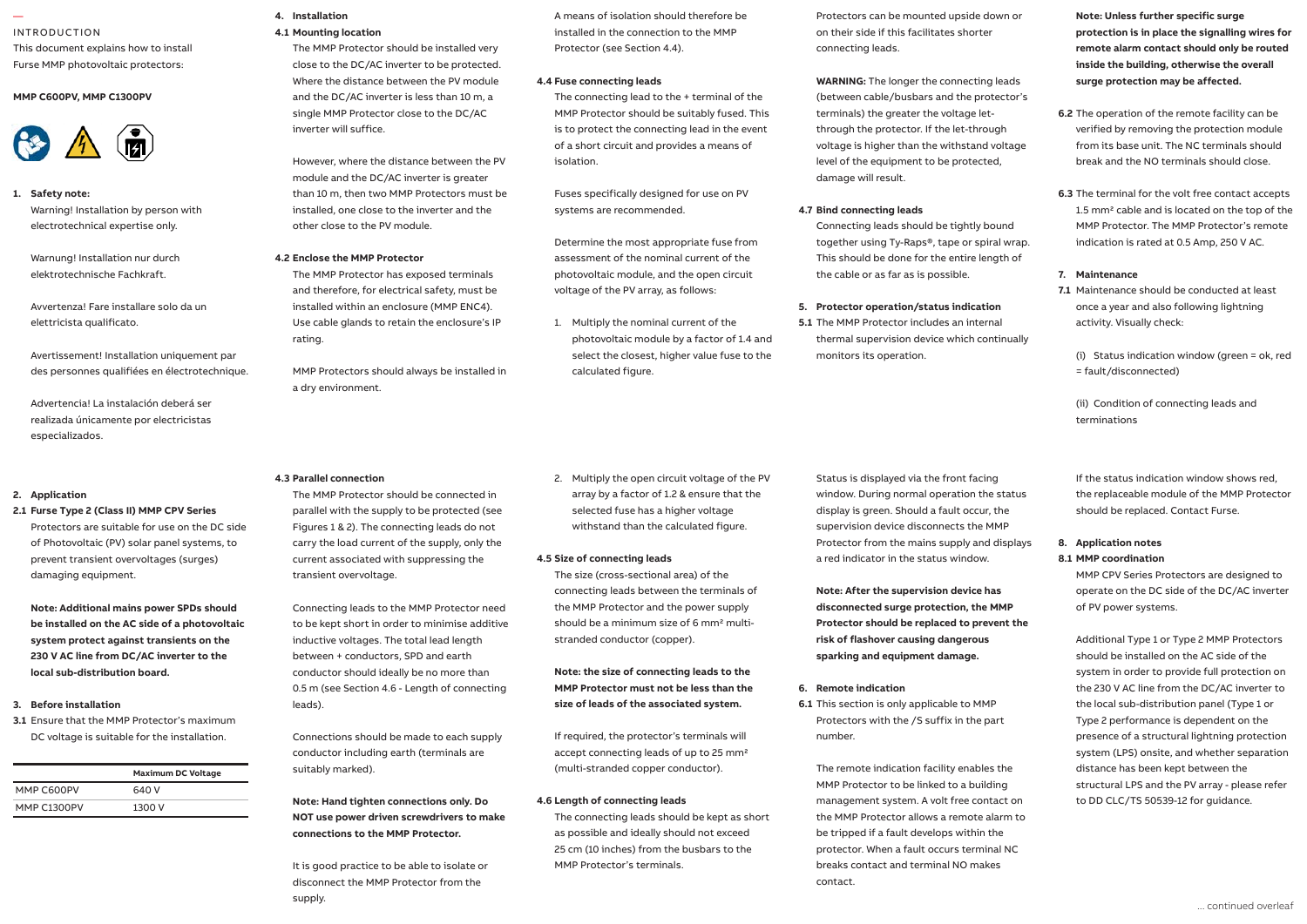#### — INTRODUCTION

This document explains how to install Furse MMP photovoltaic protectors: Furse MMP photovoitald protectors:

### **MMP C600PV, MMP C1300PV**



#### **1.** Safety note:

Warning! Installation by person with **contact available only.** inst electrotechnical expertise only.

Warnung! Installation nur durch elektrotechnische Fachkraft.

Avvertenza! Fare installare solo da un elettricista qualificato. ESP protector installation should be and comply with all relevant Regulations and 1.8 Connecting leads should be 10 mm2

Avertissement! Installation uniquement par effectivenesses of the experiment of the second included than 25 cm and 25 cm and 25 cm and 25 cm and 25 cm and 25 cm and 25 cm and 25 cm and 25 cm and 25 cm and 25 cm and 25 cm and 25 cm and 25 cm and 25 cm and 25 cm and

remote display variant which permits

Advertencia! La instalación deberá ser realizada únicamente por electricistas especializados.

# 2. Application

# 2.1 **Furse Type 2 (Class II) MMP CPV Series** parallel

Protectors are suitable for use on the DC side of Photovoltaic (PV) solar panel systems, to prevent transient overvoltages (surges) damaging equipment.

**Note: Additional mains power SPDs should be installed on the AC side of a photovoltaic system protect against transients on the 230 V AC line from DC/AC inverter to the local sub-distribution board.**

### **3. Before installation**

**3.1** Ensure that the MMP Protector's maximum DC voltage is suitable for the installation.

|                    | <b>Maximum DC Voltage</b> |
|--------------------|---------------------------|
| MMP C600PV         | 640 V                     |
| <b>MMP C1300PV</b> | 1300 V                    |

# **4. Installation 4.1 Mounting location**

The MMP Protector should be installed very close to the DC/AC inverter to be protected. Where the distance between the PV module and the DC/AC inverter is less than 10 m, a single MMP Protector close to the DC/AC inverter will suffice. 1  $1.4$  Connect to phase (s), neutral and earth.

> However, where the distance between the PV module and the DC/AC inverter is greater than 10 m, then two MMP Protectors must be installed, one close to the inverter and the other close to the PV module.

#### **4.2 Enclose the MMP Protector**

The MMP Protector has exposed terminals and therefore, for electrical safety, must be installed within an enclosure (MMP ENC4). Use cable glands to retain the enclosure's IP rating. (terminals can accept up to 25 mm2).

> MMP Protectors should always be installed in a dry environment.

## 1.12 Maximum torque for remote contact is **4.3 Parallel connection**

The MMP Protector should be connected in parallel with the supply to be protected (see Figures 1 & 2). The connecting leads do not carry the load current of the supply, only the current associated with suppressing the transient overvoltage.

Connecting leads to the MMP Protector need to be kept short in order to minimise additive inductive voltages. The total lead length between + conductors, SPD and earth conductor should ideally be no more than 0.5 m (see Section 4.6 - Length of connecting leads).

Connections should be made to each supply conductor including earth (terminals are suitably marked).

**Note: Hand tighten connections only. Do NOT use power driven screwdrivers to make connections to the MMP Protector.**

It is good practice to be able to isolate or disconnect the MMP Protector from the supply.

A means of isolation should therefore be installed in the connection to the MMP Protector (see Section 4.4).

## **4.4 Fuse connecting leads**

The connecting lead to the + terminal of the MMP Protector should be suitably fused. This is to protect the connecting lead in the event of a short circuit and provides a means of isolation.

Fuses specifically designed for use on PV systems are recommended.

Determine the most appropriate fuse from assessment of the nominal current of the photovoltaic module, and the open circuit voltage of the PV array, as follows:

1. Multiply the nominal current of the photovoltaic module by a factor of 1.4 and select the closest, higher value fuse to the calculated figure.

2. Multiply the open circuit voltage of the PV array by a factor of 1.2 & ensure that the selected fuse has a higher voltage withstand than the calculated figure.

#### **4.5 Size of connecting leads**

The size (cross-sectional area) of the connecting leads between the terminals of the MMP Protector and the power supply should be a minimum size of 6 mm2 multistranded conductor (copper).

**Note: the size of connecting leads to the MMP Protector must not be less than the size of leads of the associated system.**

If required, the protector's terminals will accept connecting leads of up to 25 mm2 (multi-stranded copper conductor).

# **4.6 Length of connecting leads**

The connecting leads should be kept as short as possible and ideally should not exceed 25 cm (10 inches) from the busbars to the MMP Protector's terminals.

Protectors can be mounted upside down or on their side if this facilitates shorter connecting leads.

**WARNING:** The longer the connecting leads (between cable/busbars and the protector's terminals) the greater the voltage letthrough the protector. If the let-through voltage is higher than the withstand voltage level of the equipment to be protected, damage will result.

# **4.7 Bind connecting leads**

Connecting leads should be tightly bound together using Ty-Raps®, tape or spiral wrap. This should be done for the entire length of the cable or as far as is possible.

### **5. Protector operation/status indication**

**5.1** The MMP Protector includes an internal thermal supervision device which continually monitors its operation.

Status is displayed via the front facing window. During normal operation the status display is green. Should a fault occur, the supervision device disconnects the MMP Protector from the mains supply and displays a red indicator in the status window.

**Note: After the supervision device has disconnected surge protection, the MMP Protector should be replaced to prevent the risk of flashover causing dangerous sparking and equipment damage.**

### **6. Remote indication**

**6.1** This section is only applicable to MMP Protectors with the /S suffix in the part number.

The remote indication facility enables the MMP Protector to be linked to a building management system. A volt free contact on the MMP Protector allows a remote alarm to be tripped if a fault develops within the protector. When a fault occurs terminal NC breaks contact and terminal NO makes contact.

**Note: Unless further specific surge protection is in place the signalling wires for remote alarm contact should only be routed inside the building, otherwise the overall surge protection may be affected.**

- **6.2** The operation of the remote facility can be verified by removing the protection module from its base unit. The NC terminals should break and the NO terminals should close.
- **6.3** The terminal for the volt free contact accepts 1.5 mm2 cable and is located on the top of the MMP Protector. The MMP Protector's remote indication is rated at 0.5 Amp, 250 V AC.

## **7. Maintenance**

**7.1** Maintenance should be conducted at least once a year and also following lightning activity. Visually check:

(i) Status indication window (green = ok, red = fault/disconnected)

(ii) Condition of connecting leads and terminations

If the status indication window shows red, the replaceable module of the MMP Protector should be replaced. Contact Furse.

# **8. Application notes**

**8.1 MMP coordination**

MMP CPV Series Protectors are designed to operate on the DC side of the DC/AC inverter of PV power systems.

Additional Type 1 or Type 2 MMP Protectors should be installed on the AC side of the system in order to provide full protection on the 230 V AC line from the DC/AC inverter to the local sub-distribution panel (Type 1 or Type 2 performance is dependent on the presence of a structural lightning protection system (LPS) onsite, and whether separation distance has been kept between the structural LPS and the PV array - please refer to DD CLC/TS 50539-12 for guidance.